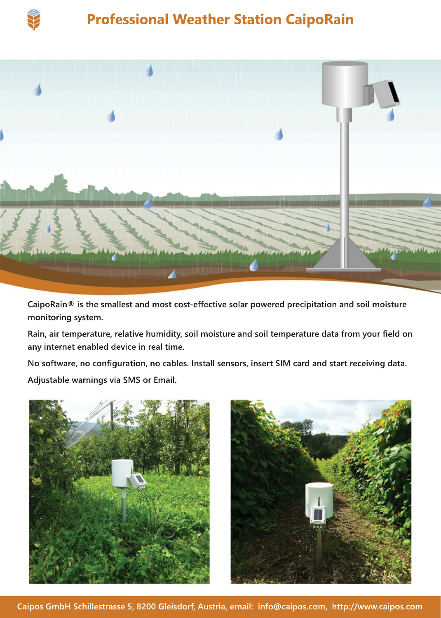

# **Professional Weather Station CaipoRain**



**CaipoRain® is the smallest and most cost-effective solar powered precipitation and soil moisture monitoring system.** 

**Rain, air temperature, relative humidity, soil moisture and soil temperature data from your field on any internet enabled device in real time.**

**No software, no configuration, no cables. Install sensors, insert SIM card and start receiving data. Adjustable warnings via SMS or Email.**





**http://www.caipos.com Caipos GmbH Schillestrasse 5, 8200 Gleisdorf, Austria, email: info@caipos.com,**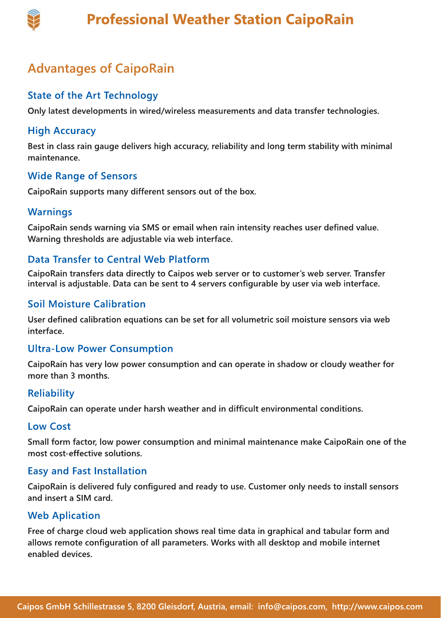

## **Advantages of CaipoRain**

## **State of the Art Technology**

**Only latest developments in wired/wireless measurements and data transfer technologies.**

## **High Accuracy**

**Best in class rain gauge delivers high accuracy, reliability and long term stability with minimal maintenance.**

## **Wide Range of Sensors**

**CaipoRain supports many different sensors out of the box.** 

#### **Warnings**

**CaipoRain sends warning via SMS or email when rain intensity reaches user defined value. Warning thresholds are adjustable via web interface.**

## **Data Transfer to Central Web Platform**

**CaipoRain transfers data directly to Caipos web server or to customer's web server. Transfer interval is adjustable. Data can be sent to 4 servers configurable by user via web interface.**

## **Soil Moisture Calibration**

**User defined calibration equations can be set for all volumetric soil moisture sensors via web interface.**

#### **Ultra-Low Power Consumption**

**CaipoRain has very low power consumption and can operate in shadow or cloudy weather for more than 3 months.**

#### **Reliability**

**CaipoRain can operate under harsh weather and in difficult environmental conditions.** 

#### **Low Cost**

**Small form factor, low power consumption and minimal maintenance make CaipoRain one of the most cost-effective solutions.**

#### **Easy and Fast Installation**

**CaipoRain is delivered fuly configured and ready to use. Customer only needs to install sensors and insert a SIM card.**

## **Web Aplication**

**Free of charge cloud web application shows real time data in graphical and tabular form and allows remote configuration of all parameters. Works with all desktop and mobile internet enabled devices.**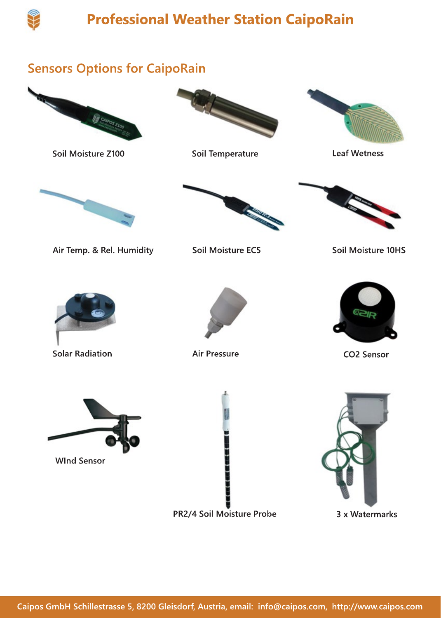

## **Sensors Options for CaipoRain**



**Soil Moisture Z100**



**Soil Temperature Leaf Wetness**





**Air Temp. & Rel. Humidity**





**Soil Moisture 10HS**



**Solar Radiation Air Pressure CO2 Sensor**



**Soil Moisture EC5**





**WInd Sensor**



**PR2/4 Soil Moisture Probe 3 x Watermarks**